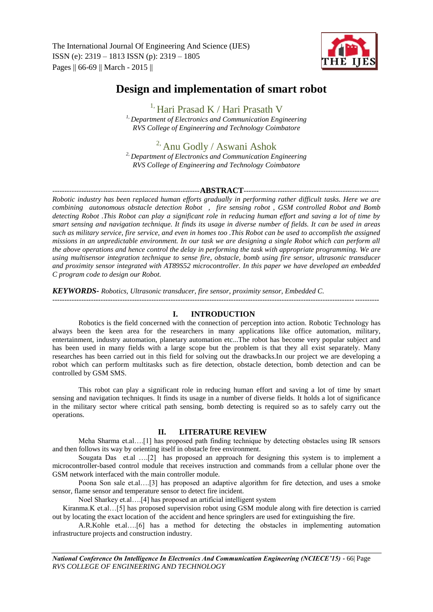

# **Design and implementation of smart robot**

<sup>1,</sup> Hari Prasad K / Hari Prasath V *1, Department of Electronics and Communication Engineering RVS College of Engineering and Technology Coimbatore*

## <sup>2,</sup> Anu Godly / Aswani Ashok

*2, Department of Electronics and Communication Engineering RVS College of Engineering and Technology Coimbatore* 

## -------------------------------------------------------------**ABSTRACT**--------------------------------------------------------

*Robotic industry has been replaced human efforts gradually in performing rather difficult tasks. Here we are combining autonomous obstacle detection Robot , fire sensing robot , GSM controlled Robot and Bomb detecting Robot .This Robot can play a significant role in reducing human effort and saving a lot of time by smart sensing and navigation technique. It finds its usage in diverse number of fields. It can be used in areas such as military service, fire service, and even in homes too .This Robot can be used to accomplish the assigned missions in an unpredictable environment. In our task we are designing a single Robot which can perform all the above operations and hence control the delay in performing the task with appropriate programming. We are using multisensor integration technique to sense fire, obstacle, bomb using fire sensor, ultrasonic transducer and proximity sensor integrated with AT89S52 microcontroller. In this paper we have developed an embedded C program code to design our Robot.*

*KEYWORDS- Robotics, Ultrasonic transducer, fire sensor, proximity sensor, Embedded C.*

---------------------------------------------------------------------------------------------------------------------------------------

## **I. INTRODUCTION**

Robotics is the field concerned with the connection of perception into action. Robotic Technology has always been the keen area for the researchers in many applications like office automation, military, entertainment, industry automation, planetary automation etc...The robot has become very popular subject and has been used in many fields with a large scope but the problem is that they all exist separately. Many researches has been carried out in this field for solving out the drawbacks.In our project we are developing a robot which can perform multitasks such as fire detection, obstacle detection, bomb detection and can be controlled by GSM SMS.

This robot can play a significant role in reducing human effort and saving a lot of time by smart sensing and navigation techniques. It finds its usage in a number of diverse fields. It holds a lot of significance in the military sector where critical path sensing, bomb detecting is required so as to safely carry out the operations.

## **II. LITERATURE REVIEW**

Meha Sharma et.al….[1] has proposed path finding technique by detecting obstacles using IR sensors and then follows its way by orienting itself in obstacle free environment.

Sougata Das et.al ….[2] has proposed an approach for designing this system is to implement a microcontroller-based control module that receives instruction and commands from a cellular phone over the GSM network interfaced with the main controller module.

Poona Son sale et.al….[3] has proposed an adaptive algorithm for fire detection, and uses a smoke sensor, flame sensor and temperature sensor to detect fire incident.

Noel Sharkey et.al….[4] has proposed an artificial intelligent system

Kiranma.K et.al…[5] has proposed supervision robot using GSM module along with fire detection is carried out by locating the exact location of the accident and hence springlers are used for extinguishing the fire.

A.R.Kohle et.al….[6] has a method for detecting the obstacles in implementing automation infrastructure projects and construction industry.

*National Conference On Intelligence In Electronics And Communication Engineering (NCIECE'15) -* 66| Page *RVS COLLEGE OF ENGINEERING AND TECHNOLOGY*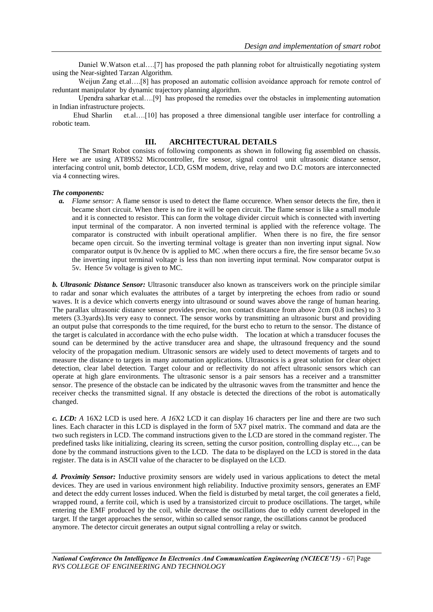Daniel W.Watson et.al….[7] has proposed the path planning robot for altruistically negotiating system using the Near-sighted Tarzan Algorithm.

Weijun Zang et.al....[8] has proposed an automatic collision avoidance approach for remote control of reduntant manipulator by dynamic trajectory planning algorithm.

Upendra saharkar et.al….[9] has proposed the remedies over the obstacles in implementing automation in Indian infrastructure projects.

Ehud Sharlin et.al….[10] has proposed a three dimensional tangible user interface for controlling a robotic team.

## **III. ARCHITECTURAL DETAILS**

The Smart Robot consists of following components as shown in following fig assembled on chassis. Here we are using AT89S52 Microcontroller, fire sensor, signal control unit ultrasonic distance sensor, interfacing control unit, bomb detector, LCD, GSM modem, drive, relay and two D.C motors are interconnected via 4 connecting wires.

#### *The components:*

*a. Flame sensor:* A flame sensor is used to detect the flame occurence. When sensor detects the fire, then it became short circuit. When there is no fire it will be open circuit. The flame sensor is like a small module and it is connected to resistor. This can form the voltage divider circuit which is connected with inverting input terminal of the comparator. A non inverted terminal is applied with the reference voltage. The comparator is constructed with inbuilt operational amplifier. When there is no fire, the fire sensor became open circuit. So the inverting terminal voltage is greater than non inverting input signal. Now comparator output is 0v.hence 0v is applied to MC .when there occurs a fire, the fire sensor became 5v.so the inverting input terminal voltage is less than non inverting input terminal. Now comparator output is 5v. Hence 5v voltage is given to MC.

*b. Ultrasonic Distance Sensor:* Ultrasonic transducer also known as transceivers work on the principle similar to radar and sonar which evaluates the attributes of a target by interpreting the echoes from radio or sound waves. It is a device which converts energy into ultrasound or sound waves above the range of human hearing. The parallax ultrasonic distance sensor provides precise, non contact distance from above 2cm (0.8 inches) to 3 meters (3.3yards).Its very easy to connect. The sensor works by transmitting an ultrasonic burst and providing an output pulse that corresponds to the time required, for the burst echo to return to the sensor. The distance of the target is calculated in accordance with the echo pulse width. The location at which a transducer focuses the sound can be determined by the active transducer area and shape, the ultrasound frequency and the sound velocity of the propagation medium. Ultrasonic sensors are widely used to detect movements of targets and to measure the distance to targets in many automation applications. Ultrasonics is a great solution for clear object detection, clear label detection. Target colour and or reflectivity do not affect ultrasonic sensors which can operate at high glare environments. The ultrasonic sensor is a pair sensors has a receiver and a transmitter sensor. The presence of the obstacle can be indicated by the ultrasonic waves from the transmitter and hence the receiver checks the transmitted signal. If any obstacle is detected the directions of the robot is automatically changed.

*c. LCD: A* 16X2 LCD is used here*. A 16*X2 LCD it can display 16 characters per line and there are two such lines. Each character in this LCD is displayed in the form of 5X7 pixel matrix. The command and data are the two such registers in LCD. The command instructions given to the LCD are stored in the command register. The predefined tasks like initializing, clearing its screen, setting the cursor position, controlling display etc..., can be done by the command instructions given to the LCD. The data to be displayed on the LCD is stored in the data register. The data is in ASCII value of the character to be displayed on the LCD.

*d. Proximity Sensor:* Inductive proximity sensors are widely used in various applications to detect the metal devices. They are used in various environment high reliability. Inductive proximity sensors, generates an EMF and detect the eddy current losses induced. When the field is disturbed by metal target, the coil generates a field, wrapped round, a ferrite coil, which is used by a transistorized circuit to produce oscillations. The target, while entering the EMF produced by the coil, while decrease the oscillations due to eddy current developed in the target. If the target approaches the sensor, within so called sensor range, the oscillations cannot be produced anymore. The detector circuit generates an output signal controlling a relay or switch.

*National Conference On Intelligence In Electronics And Communication Engineering (NCIECE'15) -* 67| Page *RVS COLLEGE OF ENGINEERING AND TECHNOLOGY*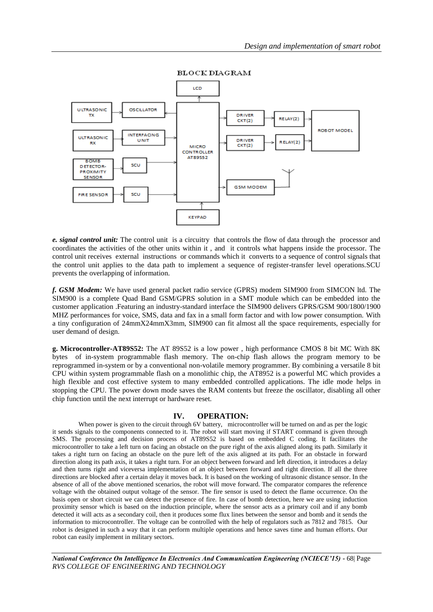

**BLOCK DIAGRAM** 

*e. signal control unit:* The control unit is a circuitry that controls the flow of data through the processor and coordinates the activities of the other units within it , and it controls what happens inside the processor. The control unit receives external instructions or commands which it converts to a sequence of control signals that the control unit applies to the data path to implement a sequence of register-transfer level operations.SCU prevents the overlapping of information.

*f. GSM Modem:* We have used general packet radio service (GPRS) modem SIM900 from SIMCON ltd. The SIM900 is a complete Quad Band GSM/GPRS solution in a SMT module which can be embedded into the customer application .Featuring an industry-standard interface the SIM900 delivers GPRS/GSM 900/1800/1900 MHZ performances for voice, SMS, data and fax in a small form factor and with low power consumption. With a tiny configuration of 24mmX24mmX3mm, SIM900 can fit almost all the space requirements, especially for user demand of design.

**g. Microcontroller-AT89S52:** The AT 89S52 is a low power , high performance CMOS 8 bit MC With 8K bytes of in-system programmable flash memory. The on-chip flash allows the program memory to be reprogrammed in-system or by a conventional non-volatile memory programmer. By combining a versatile 8 bit CPU within system programmable flash on a monolithic chip, the AT8952 is a powerful MC which provides a high flexible and cost effective system to many embedded controlled applications. The idle mode helps in stopping the CPU. The power down mode saves the RAM contents but freeze the oscillator, disabling all other chip function until the next interrupt or hardware reset.

#### **IV. OPERATION:**

When power is given to the circuit through 6V battery, microcontroller will be turned on and as per the logic it sends signals to the components connected to it. The robot will start moving if START command is given through SMS. The processing and decision process of AT89S52 is based on embedded C coding. It facilitates the microcontroller to take a left turn on facing an obstacle on the pure right of the axis aligned along its path. Similarly it takes a right turn on facing an obstacle on the pure left of the axis aligned at its path. For an obstacle in forward direction along its path axis, it takes a right turn. For an object between forward and left direction, it introduces a delay and then turns right and viceversa implementation of an object between forward and right direction. If all the three directions are blocked after a certain delay it moves back. It is based on the working of ultrasonic distance sensor. In the absence of all of the above mentioned scenarios, the robot will move forward. The comparator compares the reference voltage with the obtained output voltage of the sensor. The fire sensor is used to detect the flame occurrence. On the basis open or short circuit we can detect the presence of fire. In case of bomb detection, here we are using induction proximity sensor which is based on the induction principle, where the sensor acts as a primary coil and if any bomb detected it will acts as a secondary coil, then it produces some flux lines between the sensor and bomb and it sends the information to microcontroller. The voltage can be controlled with the help of regulators such as 7812 and 7815. Our robot is designed in such a way that it can perform multiple operations and hence saves time and human efforts. Our robot can easily implement in military sectors.

*National Conference On Intelligence In Electronics And Communication Engineering (NCIECE'15) -* 68| Page *RVS COLLEGE OF ENGINEERING AND TECHNOLOGY*